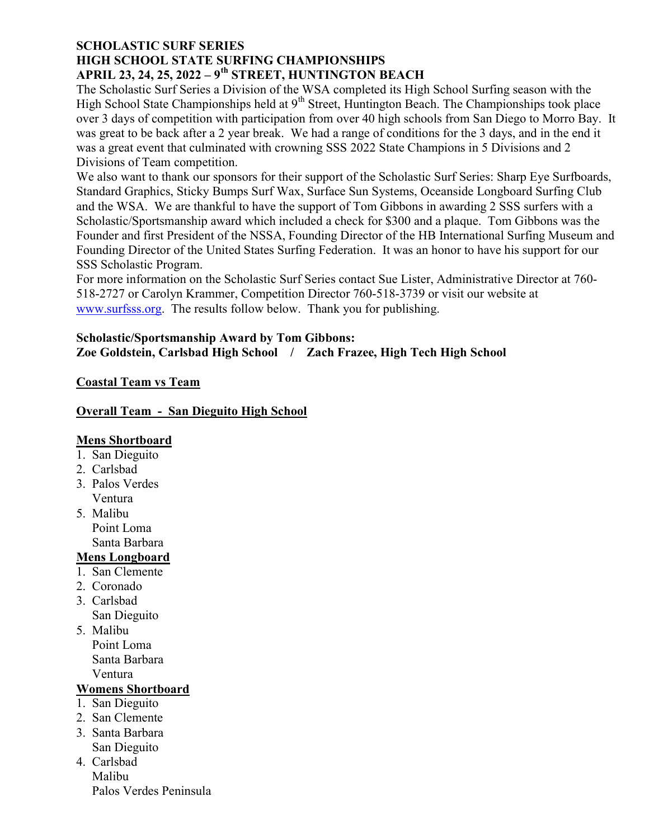### SCHOLASTIC SURF SERIES HIGH SCHOOL STATE SURFING CHAMPIONSHIPS APRIL 23, 24, 25, 2022 –  $9<sup>th</sup>$  STREET, HUNTINGTON BEACH

The Scholastic Surf Series a Division of the WSA completed its High School Surfing season with the High School State Championships held at 9<sup>th</sup> Street, Huntington Beach. The Championships took place over 3 days of competition with participation from over 40 high schools from San Diego to Morro Bay. It was great to be back after a 2 year break. We had a range of conditions for the 3 days, and in the end it was a great event that culminated with crowning SSS 2022 State Champions in 5 Divisions and 2 Divisions of Team competition.

We also want to thank our sponsors for their support of the Scholastic Surf Series: Sharp Eye Surfboards, Standard Graphics, Sticky Bumps Surf Wax, Surface Sun Systems, Oceanside Longboard Surfing Club and the WSA. We are thankful to have the support of Tom Gibbons in awarding 2 SSS surfers with a Scholastic/Sportsmanship award which included a check for \$300 and a plaque. Tom Gibbons was the Founder and first President of the NSSA, Founding Director of the HB International Surfing Museum and Founding Director of the United States Surfing Federation. It was an honor to have his support for our SSS Scholastic Program.

For more information on the Scholastic Surf Series contact Sue Lister, Administrative Director at 760- 518-2727 or Carolyn Krammer, Competition Director 760-518-3739 or visit our website at www.surfsss.org. The results follow below. Thank you for publishing.

### Scholastic/Sportsmanship Award by Tom Gibbons: Zoe Goldstein, Carlsbad High School / Zach Frazee, High Tech High School

# Coastal Team vs Team

## Overall Team - San Dieguito High School

## Mens Shortboard

- 1. San Dieguito
- 2. Carlsbad
- 3. Palos Verdes Ventura
- 5. Malibu Point Loma Santa Barbara
- Mens Longboard
- 1. San Clemente
- 2. Coronado
- 3. Carlsbad San Dieguito
- 5. Malibu Point Loma Santa Barbara Ventura

# Womens Shortboard

- 1. San Dieguito
- 2. San Clemente
- 3. Santa Barbara San Dieguito
- 4. Carlsbad Malibu Palos Verdes Peninsula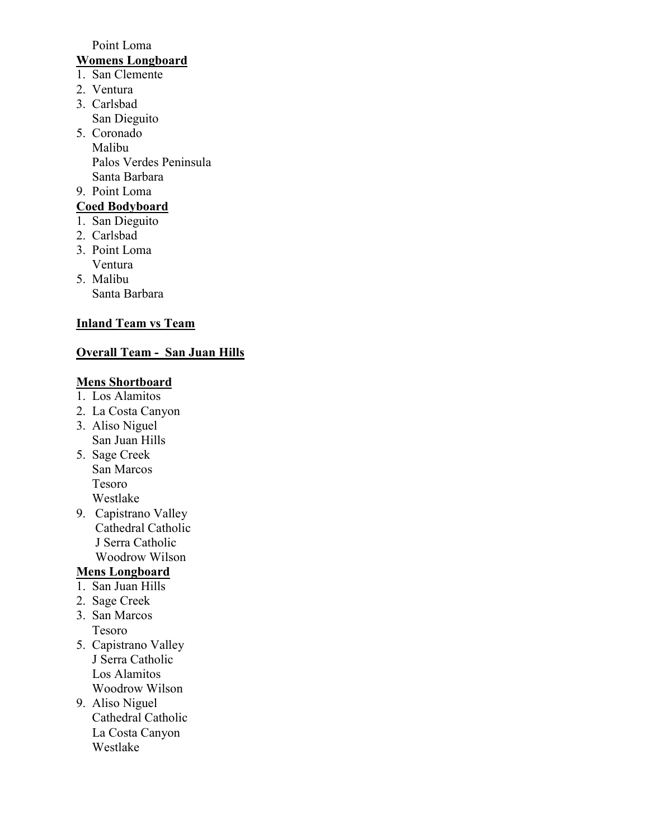#### Point Loma

# Womens Longboard

- 1. San Clemente
- 2. Ventura
- 3. Carlsbad San Dieguito
- 5. Coronado Malibu Palos Verdes Peninsula Santa Barbara

### 9. Point Loma

- Coed Bodyboard
- 1. San Dieguito
- 2. Carlsbad
- 3. Point Loma Ventura
- 5. Malibu Santa Barbara

# **Inland Team vs Team**

# Overall Team - San Juan Hills

# Mens Shortboard

- 1. Los Alamitos
- 2. La Costa Canyon
- 3. Aliso Niguel San Juan Hills
- 5. Sage Creek San Marcos Tesoro Westlake
- 9. Capistrano Valley Cathedral Catholic J Serra Catholic Woodrow Wilson

# Mens Longboard

- 1. San Juan Hills
- 2. Sage Creek
- 3. San Marcos Tesoro
- 5. Capistrano Valley J Serra Catholic Los Alamitos Woodrow Wilson
- 9. Aliso Niguel Cathedral Catholic La Costa Canyon Westlake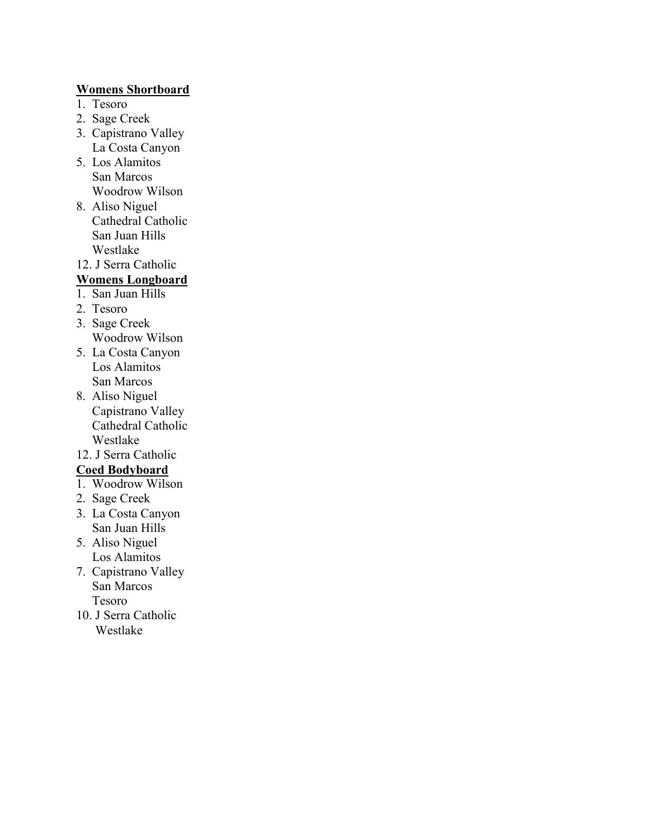### Womens Shortboard

- 1. Tesoro
- 2. Sage Creek
- 3. Capistrano Valley La Costa Canyon
- 5. Los Alamitos San Marcos Woodrow Wilson
- 8. Aliso Niguel Cathedral Catholic San Juan Hills Westlake
- 12. J Serra Catholic

# Womens Longboard

- 1. San Juan Hills
- 2. Tesoro
- 3. Sage Creek Woodrow Wilson
- 5. La Costa Canyon Los Alamitos San Marcos
- 8. Aliso Niguel Capistrano Valley Cathedral Catholic Westlake
- 12. J Serra Catholic

## Coed Bodyboard

- 1. Woodrow Wilson
- 2. Sage Creek
- 3. La Costa Canyon San Juan Hills
- 5. Aliso Niguel Los Alamitos
- 7. Capistrano Valley San Marcos Tesoro
- 10. J Serra Catholic Westlake